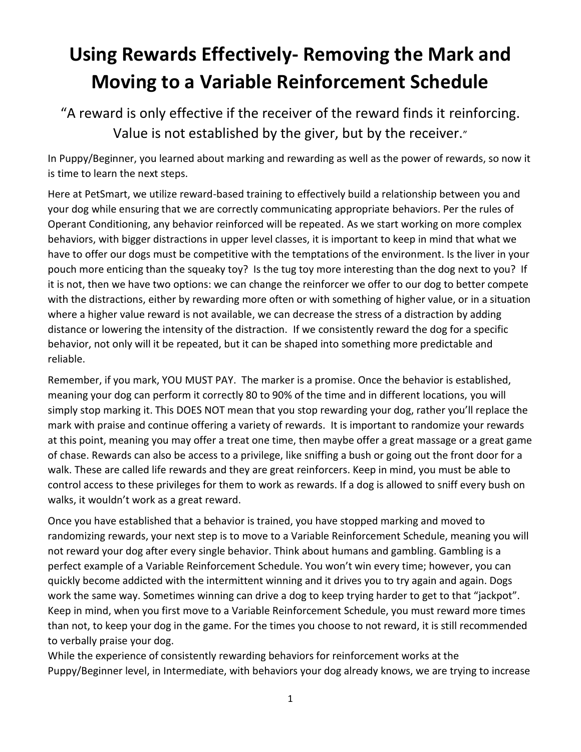# **Using Rewards Effectively- Removing the Mark and Moving to a Variable Reinforcement Schedule**

"A reward is only effective if the receiver of the reward finds it reinforcing. Value is not established by the giver, but by the receiver."

In Puppy/Beginner, you learned about marking and rewarding as well as the power of rewards, so now it is time to learn the next steps.

Here at PetSmart, we utilize reward-based training to effectively build a relationship between you and your dog while ensuring that we are correctly communicating appropriate behaviors. Per the rules of Operant Conditioning, any behavior reinforced will be repeated. As we start working on more complex behaviors, with bigger distractions in upper level classes, it is important to keep in mind that what we have to offer our dogs must be competitive with the temptations of the environment. Is the liver in your pouch more enticing than the squeaky toy? Is the tug toy more interesting than the dog next to you? If it is not, then we have two options: we can change the reinforcer we offer to our dog to better compete with the distractions, either by rewarding more often or with something of higher value, or in a situation where a higher value reward is not available, we can decrease the stress of a distraction by adding distance or lowering the intensity of the distraction. If we consistently reward the dog for a specific behavior, not only will it be repeated, but it can be shaped into something more predictable and reliable.

Remember, if you mark, YOU MUST PAY. The marker is a promise. Once the behavior is established, meaning your dog can perform it correctly 80 to 90% of the time and in different locations, you will simply stop marking it. This DOES NOT mean that you stop rewarding your dog, rather you'll replace the mark with praise and continue offering a variety of rewards. It is important to randomize your rewards at this point, meaning you may offer a treat one time, then maybe offer a great massage or a great game of chase. Rewards can also be access to a privilege, like sniffing a bush or going out the front door for a walk. These are called life rewards and they are great reinforcers. Keep in mind, you must be able to control access to these privileges for them to work as rewards. If a dog is allowed to sniff every bush on walks, it wouldn't work as a great reward.

Once you have established that a behavior is trained, you have stopped marking and moved to randomizing rewards, your next step is to move to a Variable Reinforcement Schedule, meaning you will not reward your dog after every single behavior. Think about humans and gambling. Gambling is a perfect example of a Variable Reinforcement Schedule. You won't win every time; however, you can quickly become addicted with the intermittent winning and it drives you to try again and again. Dogs work the same way. Sometimes winning can drive a dog to keep trying harder to get to that "jackpot". Keep in mind, when you first move to a Variable Reinforcement Schedule, you must reward more times than not, to keep your dog in the game. For the times you choose to not reward, it is still recommended to verbally praise your dog.

While the experience of consistently rewarding behaviors for reinforcement works at the Puppy/Beginner level, in Intermediate, with behaviors your dog already knows, we are trying to increase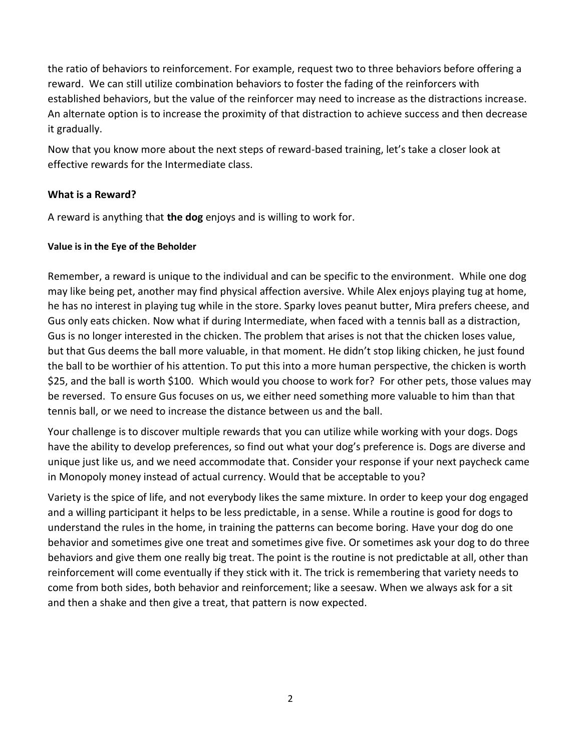the ratio of behaviors to reinforcement. For example, request two to three behaviors before offering a reward. We can still utilize combination behaviors to foster the fading of the reinforcers with established behaviors, but the value of the reinforcer may need to increase as the distractions increase. An alternate option is to increase the proximity of that distraction to achieve success and then decrease it gradually.

Now that you know more about the next steps of reward-based training, let's take a closer look at effective rewards for the Intermediate class.

## **What is a Reward?**

A reward is anything that **the dog** enjoys and is willing to work for.

## **Value is in the Eye of the Beholder**

Remember, a reward is unique to the individual and can be specific to the environment. While one dog may like being pet, another may find physical affection aversive. While Alex enjoys playing tug at home, he has no interest in playing tug while in the store. Sparky loves peanut butter, Mira prefers cheese, and Gus only eats chicken. Now what if during Intermediate, when faced with a tennis ball as a distraction, Gus is no longer interested in the chicken. The problem that arises is not that the chicken loses value, but that Gus deems the ball more valuable, in that moment. He didn't stop liking chicken, he just found the ball to be worthier of his attention. To put this into a more human perspective, the chicken is worth \$25, and the ball is worth \$100. Which would you choose to work for? For other pets, those values may be reversed. To ensure Gus focuses on us, we either need something more valuable to him than that tennis ball, or we need to increase the distance between us and the ball.

Your challenge is to discover multiple rewards that you can utilize while working with your dogs. Dogs have the ability to develop preferences, so find out what your dog's preference is. Dogs are diverse and unique just like us, and we need accommodate that. Consider your response if your next paycheck came in Monopoly money instead of actual currency. Would that be acceptable to you?

Variety is the spice of life, and not everybody likes the same mixture. In order to keep your dog engaged and a willing participant it helps to be less predictable, in a sense. While a routine is good for dogs to understand the rules in the home, in training the patterns can become boring. Have your dog do one behavior and sometimes give one treat and sometimes give five. Or sometimes ask your dog to do three behaviors and give them one really big treat. The point is the routine is not predictable at all, other than reinforcement will come eventually if they stick with it. The trick is remembering that variety needs to come from both sides, both behavior and reinforcement; like a seesaw. When we always ask for a sit and then a shake and then give a treat, that pattern is now expected.